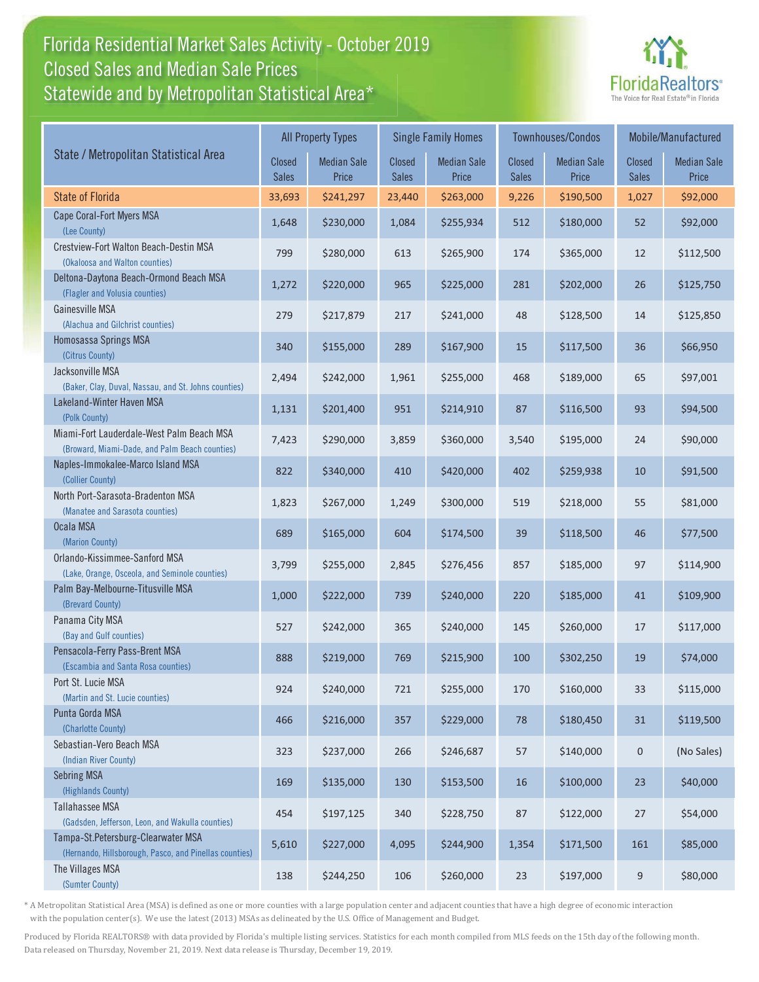### Florida Residential Market Sales Activity - October 2019 Florida Residential Market Sales Activity Statewide and by Metropolitan Statistical Area $^{\star}$ Closed Sales and Median Sale Prices



|                                                                                              |                 | <b>All Property Types</b>   |                               | <b>Single Family Homes</b>  |                               | Townhouses/Condos           | Mobile/Manufactured           |                             |
|----------------------------------------------------------------------------------------------|-----------------|-----------------------------|-------------------------------|-----------------------------|-------------------------------|-----------------------------|-------------------------------|-----------------------------|
| State / Metropolitan Statistical Area                                                        | Closed<br>Sales | <b>Median Sale</b><br>Price | <b>Closed</b><br><b>Sales</b> | <b>Median Sale</b><br>Price | <b>Closed</b><br><b>Sales</b> | <b>Median Sale</b><br>Price | <b>Closed</b><br><b>Sales</b> | <b>Median Sale</b><br>Price |
| <b>State of Florida</b>                                                                      | 33,693          | \$241,297                   | 23,440                        | \$263,000                   | 9,226                         | \$190,500                   | 1,027                         | \$92,000                    |
| Cape Coral-Fort Myers MSA<br>(Lee County)                                                    | 1,648           | \$230,000                   | 1,084                         | \$255,934                   | 512                           | \$180,000                   | 52                            | \$92,000                    |
| Crestview-Fort Walton Beach-Destin MSA<br>(Okaloosa and Walton counties)                     | 799             | \$280,000                   | 613                           | \$265,900                   | 174                           | \$365,000                   | 12                            | \$112,500                   |
| Deltona-Daytona Beach-Ormond Beach MSA<br>(Flagler and Volusia counties)                     | 1,272           | \$220,000                   | 965                           | \$225,000                   | 281                           | \$202,000                   | 26                            | \$125,750                   |
| Gainesville MSA<br>(Alachua and Gilchrist counties)                                          | 279             | \$217,879                   | 217                           | \$241,000                   | 48                            | \$128,500                   | 14                            | \$125,850                   |
| Homosassa Springs MSA<br>(Citrus County)                                                     | 340             | \$155,000                   | 289                           | \$167,900                   | 15                            | \$117,500                   | 36                            | \$66,950                    |
| Jacksonville MSA<br>(Baker, Clay, Duval, Nassau, and St. Johns counties)                     | 2,494           | \$242,000                   | 1,961                         | \$255,000                   | 468                           | \$189,000                   | 65                            | \$97,001                    |
| Lakeland-Winter Haven MSA<br>(Polk County)                                                   | 1,131           | \$201,400                   | 951                           | \$214,910                   | 87                            | \$116,500                   | 93                            | \$94,500                    |
| Miami-Fort Lauderdale-West Palm Beach MSA<br>(Broward, Miami-Dade, and Palm Beach counties)  | 7,423           | \$290,000                   | 3,859                         | \$360,000                   | 3,540                         | \$195,000                   | 24                            | \$90,000                    |
| Naples-Immokalee-Marco Island MSA<br>(Collier County)                                        | 822             | \$340,000                   | 410                           | \$420,000                   | 402                           | \$259,938                   | 10                            | \$91,500                    |
| North Port-Sarasota-Bradenton MSA<br>(Manatee and Sarasota counties)                         | 1,823           | \$267,000                   | 1,249                         | \$300,000                   | 519                           | \$218,000                   | 55                            | \$81,000                    |
| Ocala MSA<br>(Marion County)                                                                 | 689             | \$165,000                   | 604                           | \$174,500                   | 39                            | \$118,500                   | 46                            | \$77,500                    |
| Orlando-Kissimmee-Sanford MSA<br>(Lake, Orange, Osceola, and Seminole counties)              | 3,799           | \$255,000                   | 2,845                         | \$276,456                   | 857                           | \$185,000                   | 97                            | \$114,900                   |
| Palm Bay-Melbourne-Titusville MSA<br>(Brevard County)                                        | 1,000           | \$222,000                   | 739                           | \$240,000                   | 220                           | \$185,000                   | 41                            | \$109,900                   |
| Panama City MSA<br>(Bay and Gulf counties)                                                   | 527             | \$242,000                   | 365                           | \$240,000                   | 145                           | \$260,000                   | 17                            | \$117,000                   |
| Pensacola-Ferry Pass-Brent MSA<br>(Escambia and Santa Rosa counties)                         | 888             | \$219,000                   | 769                           | \$215,900                   | 100                           | \$302,250                   | 19                            | \$74,000                    |
| Port St. Lucie MSA<br>(Martin and St. Lucie counties)                                        | 924             | \$240,000                   | 721                           | \$255,000                   | 170                           | \$160,000                   | 33                            | \$115,000                   |
| Punta Gorda MSA<br>(Charlotte County)                                                        | 466             | \$216,000                   | 357                           | \$229,000                   | 78                            | \$180,450                   | 31                            | \$119,500                   |
| Sebastian-Vero Beach MSA<br>(Indian River County)                                            | 323             | \$237,000                   | 266                           | \$246,687                   | 57                            | \$140,000                   | $\mathbf 0$                   | (No Sales)                  |
| <b>Sebring MSA</b><br>(Highlands County)                                                     | 169             | \$135,000                   | 130                           | \$153,500                   | 16                            | \$100,000                   | 23                            | \$40,000                    |
| <b>Tallahassee MSA</b><br>(Gadsden, Jefferson, Leon, and Wakulla counties)                   | 454             | \$197,125                   | 340                           | \$228,750                   | 87                            | \$122,000                   | 27                            | \$54,000                    |
| Tampa-St.Petersburg-Clearwater MSA<br>(Hernando, Hillsborough, Pasco, and Pinellas counties) | 5,610           | \$227,000                   | 4,095                         | \$244,900                   | 1,354                         | \$171,500                   | 161                           | \$85,000                    |
| The Villages MSA<br>(Sumter County)                                                          | 138             | \$244,250                   | 106                           | \$260,000                   | 23                            | \$197,000                   | 9                             | \$80,000                    |

\* A Metropolitan Statistical Area (MSA) is defined as one or more counties with a large population center and adjacent counties that have a high degree of economic interaction with the population center(s). We use the latest (2013) MSAs as delineated by the U.S. Office of Management and Budget.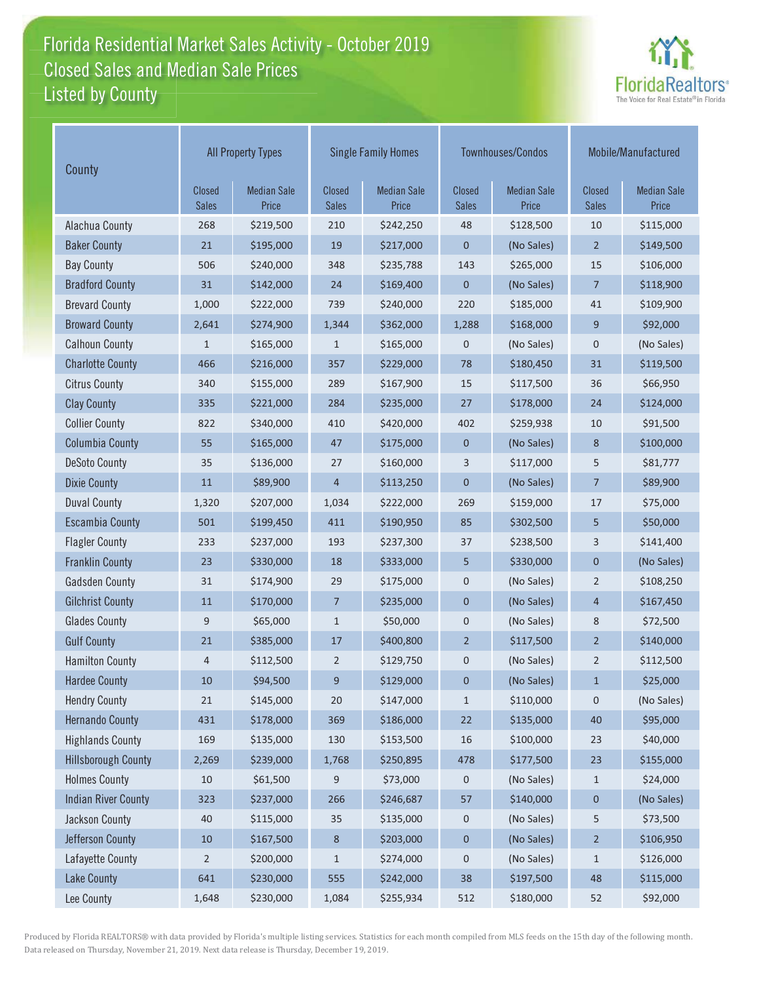### Florida Residential Market Sales Activity - October 2019 Florida Residential Market Sales Activity Listed by County Closed Sales and Median Sale Prices



| County                     | <b>All Property Types</b>     |                             |                        | <b>Single Family Homes</b>  |                               | Townhouses/Condos           | Mobile/Manufactured    |                             |
|----------------------------|-------------------------------|-----------------------------|------------------------|-----------------------------|-------------------------------|-----------------------------|------------------------|-----------------------------|
|                            | <b>Closed</b><br><b>Sales</b> | <b>Median Sale</b><br>Price | Closed<br><b>Sales</b> | <b>Median Sale</b><br>Price | <b>Closed</b><br><b>Sales</b> | <b>Median Sale</b><br>Price | Closed<br><b>Sales</b> | <b>Median Sale</b><br>Price |
| Alachua County             | 268                           | \$219,500                   | 210                    | \$242,250                   | 48                            | \$128,500                   | 10                     | \$115,000                   |
| <b>Baker County</b>        | 21                            | \$195,000                   | 19                     | \$217,000                   | 0                             | (No Sales)                  | $\overline{2}$         | \$149,500                   |
| <b>Bay County</b>          | 506                           | \$240,000                   | 348                    | \$235,788                   | 143                           | \$265,000                   | 15                     | \$106,000                   |
| <b>Bradford County</b>     | 31                            | \$142,000                   | 24                     | \$169,400                   | $\mathbf 0$                   | (No Sales)                  | $\overline{7}$         | \$118,900                   |
| <b>Brevard County</b>      | 1,000                         | \$222,000                   | 739                    | \$240,000                   | 220                           | \$185,000                   | 41                     | \$109,900                   |
| <b>Broward County</b>      | 2,641                         | \$274,900                   | 1,344                  | \$362,000                   | 1,288                         | \$168,000                   | 9                      | \$92,000                    |
| <b>Calhoun County</b>      | $\mathbf{1}$                  | \$165,000                   | $\mathbf{1}$           | \$165,000                   | 0                             | (No Sales)                  | $\mathbf 0$            | (No Sales)                  |
| <b>Charlotte County</b>    | 466                           | \$216,000                   | 357                    | \$229,000                   | 78                            | \$180,450                   | 31                     | \$119,500                   |
| <b>Citrus County</b>       | 340                           | \$155,000                   | 289                    | \$167,900                   | 15                            | \$117,500                   | 36                     | \$66,950                    |
| <b>Clay County</b>         | 335                           | \$221,000                   | 284                    | \$235,000                   | 27                            | \$178,000                   | 24                     | \$124,000                   |
| <b>Collier County</b>      | 822                           | \$340,000                   | 410                    | \$420,000                   | 402                           | \$259,938                   | 10                     | \$91,500                    |
| <b>Columbia County</b>     | 55                            | \$165,000                   | 47                     | \$175,000                   | $\mathbf 0$                   | (No Sales)                  | 8                      | \$100,000                   |
| <b>DeSoto County</b>       | 35                            | \$136,000                   | 27                     | \$160,000                   | 3                             | \$117,000                   | 5                      | \$81,777                    |
| <b>Dixie County</b>        | 11                            | \$89,900                    | $\overline{4}$         | \$113,250                   | 0                             | (No Sales)                  | 7                      | \$89,900                    |
| <b>Duval County</b>        | 1,320                         | \$207,000                   | 1,034                  | \$222,000                   | 269                           | \$159,000                   | 17                     | \$75,000                    |
| <b>Escambia County</b>     | 501                           | \$199,450                   | 411                    | \$190,950                   | 85                            | \$302,500                   | 5                      | \$50,000                    |
| <b>Flagler County</b>      | 233                           | \$237,000                   | 193                    | \$237,300                   | 37                            | \$238,500                   | 3                      | \$141,400                   |
| <b>Franklin County</b>     | 23                            | \$330,000                   | 18                     | \$333,000                   | 5                             | \$330,000                   | 0                      | (No Sales)                  |
| <b>Gadsden County</b>      | 31                            | \$174,900                   | 29                     | \$175,000                   | 0                             | (No Sales)                  | $\overline{2}$         | \$108,250                   |
| <b>Gilchrist County</b>    | 11                            | \$170,000                   | $\overline{7}$         | \$235,000                   | 0                             | (No Sales)                  | 4                      | \$167,450                   |
| <b>Glades County</b>       | $\mathsf 9$                   | \$65,000                    | $\mathbf{1}$           | \$50,000                    | 0                             | (No Sales)                  | 8                      | \$72,500                    |
| <b>Gulf County</b>         | 21                            | \$385,000                   | 17                     | \$400,800                   | $\overline{2}$                | \$117,500                   | $\overline{2}$         | \$140,000                   |
| <b>Hamilton County</b>     | $\overline{4}$                | \$112,500                   | 2                      | \$129,750                   | 0                             | (No Sales)                  | 2                      | \$112,500                   |
| <b>Hardee County</b>       | 10                            | \$94,500                    | 9                      | \$129,000                   | $\mathbf 0$                   | (No Sales)                  | $\mathbf{1}$           | \$25,000                    |
| <b>Hendry County</b>       | 21                            | \$145,000                   | 20                     | \$147,000                   | $\mathbf{1}$                  | \$110,000                   | $\pmb{0}$              | (No Sales)                  |
| <b>Hernando County</b>     | 431                           | \$178,000                   | 369                    | \$186,000                   | 22                            | \$135,000                   | 40                     | \$95,000                    |
| <b>Highlands County</b>    | 169                           | \$135,000                   | 130                    | \$153,500                   | 16                            | \$100,000                   | 23                     | \$40,000                    |
| <b>Hillsborough County</b> | 2,269                         | \$239,000                   | 1,768                  | \$250,895                   | 478                           | \$177,500                   | 23                     | \$155,000                   |
| <b>Holmes County</b>       | 10                            | \$61,500                    | 9                      | \$73,000                    | 0                             | (No Sales)                  | $\mathbf{1}$           | \$24,000                    |
| <b>Indian River County</b> | 323                           | \$237,000                   | 266                    | \$246,687                   | 57                            | \$140,000                   | 0                      | (No Sales)                  |
| Jackson County             | 40                            | \$115,000                   | 35                     | \$135,000                   | 0                             | (No Sales)                  | 5                      | \$73,500                    |
| Jefferson County           | $10\,$                        | \$167,500                   | $\,$ 8 $\,$            | \$203,000                   | 0                             | (No Sales)                  | $\overline{2}$         | \$106,950                   |
| Lafayette County           | $\overline{2}$                | \$200,000                   | $1\,$                  | \$274,000                   | 0                             | (No Sales)                  | $\mathbf{1}$           | \$126,000                   |
| <b>Lake County</b>         | 641                           | \$230,000                   | 555                    | \$242,000                   | 38                            | \$197,500                   | 48                     | \$115,000                   |
| Lee County                 | 1,648                         | \$230,000                   | 1,084                  | \$255,934                   | 512                           | \$180,000                   | 52                     | \$92,000                    |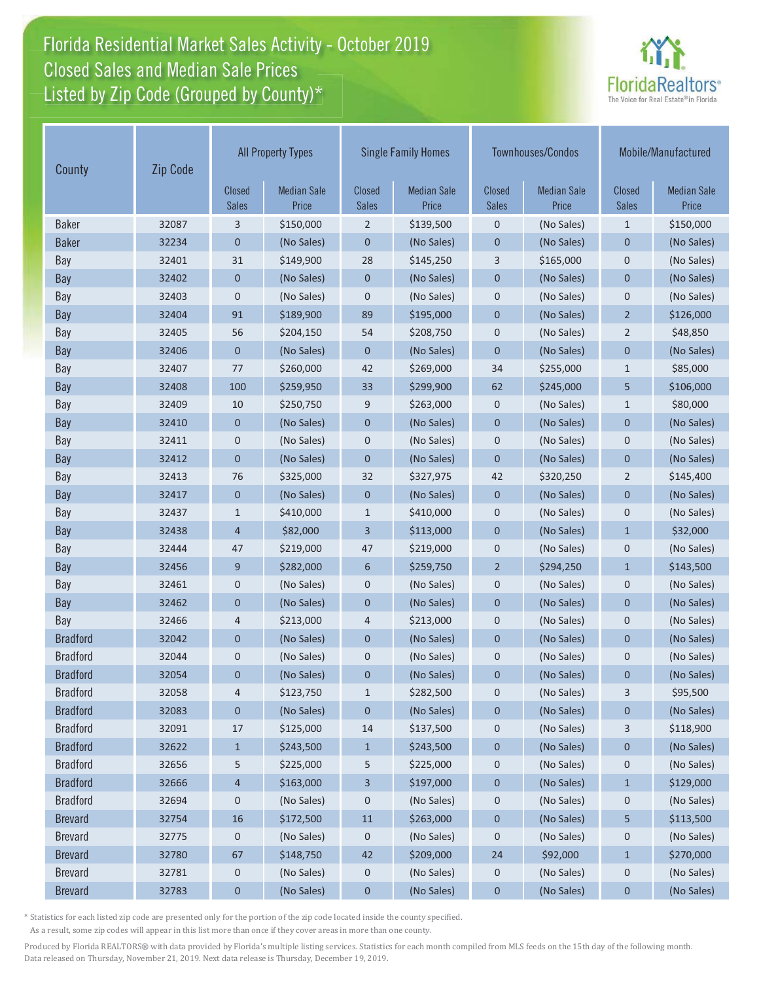# Florida Residential Market Sales Activity - October 2019 Florida Residential Market Sales Activity Closed Sales and Median Sale Prices<br>Listed by Zip Code (Grouped by County)\*



| Zip Code<br>County |       |                               | <b>All Property Types</b>   |                               | <b>Single Family Homes</b>  |                               | Townhouses/Condos           | Mobile/Manufactured    |                             |
|--------------------|-------|-------------------------------|-----------------------------|-------------------------------|-----------------------------|-------------------------------|-----------------------------|------------------------|-----------------------------|
|                    |       | <b>Closed</b><br><b>Sales</b> | <b>Median Sale</b><br>Price | <b>Closed</b><br><b>Sales</b> | <b>Median Sale</b><br>Price | <b>Closed</b><br><b>Sales</b> | <b>Median Sale</b><br>Price | Closed<br><b>Sales</b> | <b>Median Sale</b><br>Price |
| <b>Baker</b>       | 32087 | 3                             | \$150,000                   | $\overline{2}$                | \$139,500                   | $\mathbf 0$                   | (No Sales)                  | $\mathbf{1}$           | \$150,000                   |
| <b>Baker</b>       | 32234 | 0                             | (No Sales)                  | 0                             | (No Sales)                  | $\mathbf 0$                   | (No Sales)                  | $\mathbf 0$            | (No Sales)                  |
| Bay                | 32401 | 31                            | \$149,900                   | 28                            | \$145,250                   | 3                             | \$165,000                   | $\mathbf 0$            | (No Sales)                  |
| Bay                | 32402 | 0                             | (No Sales)                  | $\pmb{0}$                     | (No Sales)                  | $\mathbf 0$                   | (No Sales)                  | $\mathbf 0$            | (No Sales)                  |
| Bay                | 32403 | 0                             | (No Sales)                  | $\mathsf 0$                   | (No Sales)                  | $\mathbf 0$                   | (No Sales)                  | $\mathbf 0$            | (No Sales)                  |
| Bay                | 32404 | 91                            | \$189,900                   | 89                            | \$195,000                   | $\mathbf 0$                   | (No Sales)                  | $\overline{2}$         | \$126,000                   |
| Bay                | 32405 | 56                            | \$204,150                   | 54                            | \$208,750                   | $\mathbf 0$                   | (No Sales)                  | $\overline{2}$         | \$48,850                    |
| Bay                | 32406 | $\overline{0}$                | (No Sales)                  | $\mathbf 0$                   | (No Sales)                  | $\mathbf 0$                   | (No Sales)                  | $\mathbf 0$            | (No Sales)                  |
| Bay                | 32407 | 77                            | \$260,000                   | 42                            | \$269,000                   | 34                            | \$255,000                   | $\mathbf{1}$           | \$85,000                    |
| Bay                | 32408 | 100                           | \$259,950                   | 33                            | \$299,900                   | 62                            | \$245,000                   | 5                      | \$106,000                   |
| Bay                | 32409 | 10                            | \$250,750                   | 9                             | \$263,000                   | $\mathbf 0$                   | (No Sales)                  | $\mathbf{1}$           | \$80,000                    |
| Bay                | 32410 | $\mathbf 0$                   | (No Sales)                  | $\mathbf 0$                   | (No Sales)                  | $\mathbf 0$                   | (No Sales)                  | $\mathbf{0}$           | (No Sales)                  |
| Bay                | 32411 | 0                             | (No Sales)                  | 0                             | (No Sales)                  | $\mathbf 0$                   | (No Sales)                  | $\mathbf 0$            | (No Sales)                  |
| Bay                | 32412 | $\mathbf 0$                   | (No Sales)                  | $\mathbf 0$                   | (No Sales)                  | $\mathbf 0$                   | (No Sales)                  | $\mathbf 0$            | (No Sales)                  |
| Bay                | 32413 | 76                            | \$325,000                   | 32                            | \$327,975                   | 42                            | \$320,250                   | $\overline{2}$         | \$145,400                   |
| Bay                | 32417 | 0                             | (No Sales)                  | 0                             | (No Sales)                  | $\mathbf 0$                   | (No Sales)                  | $\mathbf 0$            | (No Sales)                  |
| Bay                | 32437 | $\mathbf{1}$                  | \$410,000                   | $\mathbf{1}$                  | \$410,000                   | $\mathbf 0$                   | (No Sales)                  | $\mathbf 0$            | (No Sales)                  |
| Bay                | 32438 | 4                             | \$82,000                    | 3                             | \$113,000                   | $\mathbf 0$                   | (No Sales)                  | $\mathbf{1}$           | \$32,000                    |
| Bay                | 32444 | 47                            | \$219,000                   | 47                            | \$219,000                   | $\mathbf 0$                   | (No Sales)                  | $\mathbf 0$            | (No Sales)                  |
| Bay                | 32456 | 9                             | \$282,000                   | 6                             | \$259,750                   | $\overline{2}$                | \$294,250                   | $\mathbf{1}$           | \$143,500                   |
| Bay                | 32461 | 0                             | (No Sales)                  | 0                             | (No Sales)                  | $\mathbf 0$                   | (No Sales)                  | $\mathbf 0$            | (No Sales)                  |
| Bay                | 32462 | 0                             | (No Sales)                  | $\mathbf 0$                   | (No Sales)                  | $\mathbf 0$                   | (No Sales)                  | $\mathbf 0$            | (No Sales)                  |
| Bay                | 32466 | 4                             | \$213,000                   | 4                             | \$213,000                   | $\mathbf 0$                   | (No Sales)                  | $\mathbf 0$            | (No Sales)                  |
| <b>Bradford</b>    | 32042 | 0                             | (No Sales)                  | 0                             | (No Sales)                  | $\mathbf 0$                   | (No Sales)                  | $\mathbf{0}$           | (No Sales)                  |
| <b>Bradford</b>    | 32044 | 0                             | (No Sales)                  | 0                             | (No Sales)                  | $\mathbf 0$                   | (No Sales)                  | $\mathbf 0$            | (No Sales)                  |
| <b>Bradford</b>    | 32054 | $\mathbf 0$                   | (No Sales)                  | $\pmb{0}$                     | (No Sales)                  | $\pmb{0}$                     | (No Sales)                  | $\mathbf 0$            | (No Sales)                  |
| <b>Bradford</b>    | 32058 | 4                             | \$123,750                   | $\mathbf{1}$                  | \$282,500                   | 0                             | (No Sales)                  | 3                      | \$95,500                    |
| <b>Bradford</b>    | 32083 | 0                             | (No Sales)                  | 0                             | (No Sales)                  | $\boldsymbol{0}$              | (No Sales)                  | 0                      | (No Sales)                  |
| <b>Bradford</b>    | 32091 | 17                            | \$125,000                   | 14                            | \$137,500                   | $\mathbf 0$                   | (No Sales)                  | 3                      | \$118,900                   |
| <b>Bradford</b>    | 32622 | $\mathbf{1}$                  | \$243,500                   | $\mathbf{1}$                  | \$243,500                   | $\mathbf 0$                   | (No Sales)                  | $\boldsymbol{0}$       | (No Sales)                  |
| <b>Bradford</b>    | 32656 | 5                             | \$225,000                   | 5                             | \$225,000                   | 0                             | (No Sales)                  | 0                      | (No Sales)                  |
| <b>Bradford</b>    | 32666 | 4                             | \$163,000                   | 3                             | \$197,000                   | $\boldsymbol{0}$              | (No Sales)                  | $\mathbf{1}$           | \$129,000                   |
| <b>Bradford</b>    | 32694 | 0                             | (No Sales)                  | 0                             | (No Sales)                  | $\mathbf 0$                   | (No Sales)                  | $\mathbf 0$            | (No Sales)                  |
| <b>Brevard</b>     | 32754 | 16                            | \$172,500                   | 11                            | \$263,000                   | $\pmb{0}$                     | (No Sales)                  | 5                      | \$113,500                   |
| <b>Brevard</b>     | 32775 | 0                             | (No Sales)                  | 0                             | (No Sales)                  | 0                             | (No Sales)                  | $\mathbf 0$            | (No Sales)                  |
| <b>Brevard</b>     | 32780 | 67                            | \$148,750                   | 42                            | \$209,000                   | 24                            | \$92,000                    | $\mathbf{1}$           | \$270,000                   |
| <b>Brevard</b>     | 32781 | 0                             | (No Sales)                  | 0                             | (No Sales)                  | 0                             | (No Sales)                  | $\mathbf 0$            | (No Sales)                  |
| <b>Brevard</b>     | 32783 | 0                             | (No Sales)                  | $\pmb{0}$                     | (No Sales)                  | $\boldsymbol{0}$              | (No Sales)                  | $\mathbf 0$            | (No Sales)                  |

\* Statistics for each listed zip code are presented only for the portion of the zip code located inside the county specified.

As a result, some zip codes will appear in this list more than once if they cover areas in more than one county.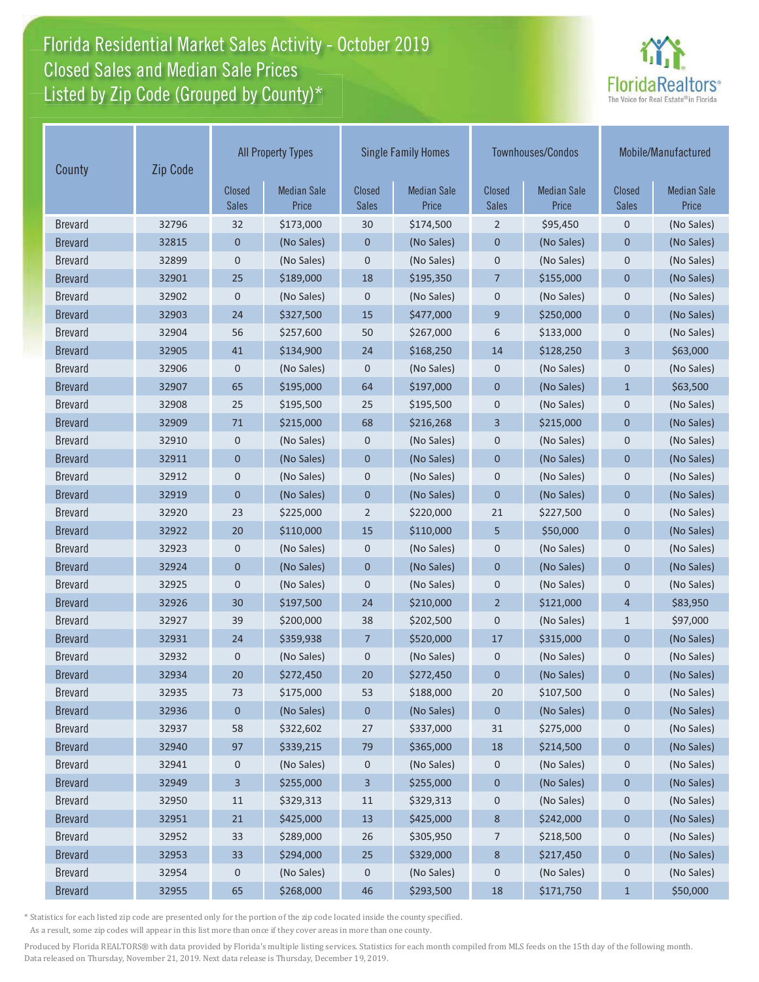# Florida Residential Market Sales Activity - October 2019 Florida Residential Market Sales Activity Closed Sales and Median Sale Prices<br>Listed by Zip Code (Grouped by County)\*



| County         | Zip Code |                        | <b>All Property Types</b>   |                               | <b>Single Family Homes</b>  |                               | Townhouses/Condos           |                               | Mobile/Manufactured         |  |
|----------------|----------|------------------------|-----------------------------|-------------------------------|-----------------------------|-------------------------------|-----------------------------|-------------------------------|-----------------------------|--|
|                |          | Closed<br><b>Sales</b> | <b>Median Sale</b><br>Price | <b>Closed</b><br><b>Sales</b> | <b>Median Sale</b><br>Price | <b>Closed</b><br><b>Sales</b> | <b>Median Sale</b><br>Price | <b>Closed</b><br><b>Sales</b> | <b>Median Sale</b><br>Price |  |
| <b>Brevard</b> | 32796    | 32                     | \$173,000                   | 30                            | \$174,500                   | 2                             | \$95,450                    | $\mathbf 0$                   | (No Sales)                  |  |
| <b>Brevard</b> | 32815    | $\mathbf 0$            | (No Sales)                  | 0                             | (No Sales)                  | $\mathbf 0$                   | (No Sales)                  | $\mathbf 0$                   | (No Sales)                  |  |
| <b>Brevard</b> | 32899    | 0                      | (No Sales)                  | 0                             | (No Sales)                  | $\mathbf 0$                   | (No Sales)                  | $\mathbf 0$                   | (No Sales)                  |  |
| <b>Brevard</b> | 32901    | 25                     | \$189,000                   | 18                            | \$195,350                   | $\overline{7}$                | \$155,000                   | $\mathbf 0$                   | (No Sales)                  |  |
| <b>Brevard</b> | 32902    | $\pmb{0}$              | (No Sales)                  | 0                             | (No Sales)                  | $\mathbf 0$                   | (No Sales)                  | $\mathbf 0$                   | (No Sales)                  |  |
| <b>Brevard</b> | 32903    | 24                     | \$327,500                   | 15                            | \$477,000                   | 9                             | \$250,000                   | $\overline{0}$                | (No Sales)                  |  |
| <b>Brevard</b> | 32904    | 56                     | \$257,600                   | 50                            | \$267,000                   | 6                             | \$133,000                   | $\mathbf 0$                   | (No Sales)                  |  |
| <b>Brevard</b> | 32905    | 41                     | \$134,900                   | 24                            | \$168,250                   | 14                            | \$128,250                   | 3                             | \$63,000                    |  |
| <b>Brevard</b> | 32906    | 0                      | (No Sales)                  | 0                             | (No Sales)                  | $\mathbf 0$                   | (No Sales)                  | 0                             | (No Sales)                  |  |
| <b>Brevard</b> | 32907    | 65                     | \$195,000                   | 64                            | \$197,000                   | $\mathbf 0$                   | (No Sales)                  | $\mathbf{1}$                  | \$63,500                    |  |
| <b>Brevard</b> | 32908    | 25                     | \$195,500                   | 25                            | \$195,500                   | $\mathbf 0$                   | (No Sales)                  | $\mathbf 0$                   | (No Sales)                  |  |
| <b>Brevard</b> | 32909    | 71                     | \$215,000                   | 68                            | \$216,268                   | 3                             | \$215,000                   | $\mathbf 0$                   | (No Sales)                  |  |
| <b>Brevard</b> | 32910    | 0                      | (No Sales)                  | 0                             | (No Sales)                  | $\mathbf 0$                   | (No Sales)                  | 0                             | (No Sales)                  |  |
| <b>Brevard</b> | 32911    | $\mathbf 0$            | (No Sales)                  | $\mathbf 0$                   | (No Sales)                  | $\mathbf 0$                   | (No Sales)                  | $\mathbf 0$                   | (No Sales)                  |  |
| <b>Brevard</b> | 32912    | $\mathbf 0$            | (No Sales)                  | 0                             | (No Sales)                  | $\mathbf 0$                   | (No Sales)                  | $\mathbf 0$                   | (No Sales)                  |  |
| <b>Brevard</b> | 32919    | $\mathbf 0$            | (No Sales)                  | 0                             | (No Sales)                  | $\mathbf{0}$                  | (No Sales)                  | $\mathbf 0$                   | (No Sales)                  |  |
| <b>Brevard</b> | 32920    | 23                     | \$225,000                   | $\overline{2}$                | \$220,000                   | 21                            | \$227,500                   | $\mathbf 0$                   | (No Sales)                  |  |
| <b>Brevard</b> | 32922    | 20                     | \$110,000                   | 15                            | \$110,000                   | 5                             | \$50,000                    | $\mathbf 0$                   | (No Sales)                  |  |
| <b>Brevard</b> | 32923    | 0                      | (No Sales)                  | 0                             | (No Sales)                  | $\mathbf 0$                   | (No Sales)                  | $\mathbf 0$                   | (No Sales)                  |  |
| <b>Brevard</b> | 32924    | $\overline{0}$         | (No Sales)                  | $\overline{0}$                | (No Sales)                  | $\mathbf{0}$                  | (No Sales)                  | $\overline{0}$                | (No Sales)                  |  |
| <b>Brevard</b> | 32925    | 0                      | (No Sales)                  | 0                             | (No Sales)                  | $\mathbf 0$                   | (No Sales)                  | $\mathbf 0$                   | (No Sales)                  |  |
| <b>Brevard</b> | 32926    | 30                     | \$197,500                   | 24                            | \$210,000                   | $\overline{2}$                | \$121,000                   | $\overline{4}$                | \$83,950                    |  |
| <b>Brevard</b> | 32927    | 39                     | \$200,000                   | 38                            | \$202,500                   | $\mathbf 0$                   | (No Sales)                  | $\mathbf{1}$                  | \$97,000                    |  |
| <b>Brevard</b> | 32931    | 24                     | \$359,938                   | 7                             | \$520,000                   | 17                            | \$315,000                   | $\mathbf 0$                   | (No Sales)                  |  |
| <b>Brevard</b> | 32932    | 0                      | (No Sales)                  | 0                             | (No Sales)                  | $\mathbf 0$                   | (No Sales)                  | $\mathbf 0$                   | (No Sales)                  |  |
| <b>Brevard</b> | 32934    | 20                     | \$272,450                   | 20                            | \$272,450                   | $\mathbf 0$                   | (No Sales)                  | $\mathbf{0}$                  | (No Sales)                  |  |
| <b>Brevard</b> | 32935    | 73                     | \$175,000                   | 53                            | \$188,000                   | 20                            | \$107,500                   | $\mathbf 0$                   | (No Sales)                  |  |
| <b>Brevard</b> | 32936    | $\boldsymbol{0}$       | (No Sales)                  | 0                             | (No Sales)                  | $\pmb{0}$                     | (No Sales)                  | $\pmb{0}$                     | (No Sales)                  |  |
| <b>Brevard</b> | 32937    | 58                     | \$322,602                   | 27                            | \$337,000                   | 31                            | \$275,000                   | 0                             | (No Sales)                  |  |
| <b>Brevard</b> | 32940    | 97                     | \$339,215                   | 79                            | \$365,000                   | 18                            | \$214,500                   | $\pmb{0}$                     | (No Sales)                  |  |
| <b>Brevard</b> | 32941    | 0                      | (No Sales)                  | 0                             | (No Sales)                  | 0                             | (No Sales)                  | 0                             | (No Sales)                  |  |
| <b>Brevard</b> | 32949    | 3                      | \$255,000                   | 3                             | \$255,000                   | $\pmb{0}$                     | (No Sales)                  | $\pmb{0}$                     | (No Sales)                  |  |
| <b>Brevard</b> | 32950    | 11                     | \$329,313                   | 11                            | \$329,313                   | $\mathbf 0$                   | (No Sales)                  | $\mathbf 0$                   | (No Sales)                  |  |
| <b>Brevard</b> | 32951    | 21                     | \$425,000                   | 13                            | \$425,000                   | $\bf 8$                       | \$242,000                   | $\pmb{0}$                     | (No Sales)                  |  |
| <b>Brevard</b> | 32952    | 33                     | \$289,000                   | 26                            | \$305,950                   | 7                             | \$218,500                   | 0                             | (No Sales)                  |  |
| <b>Brevard</b> | 32953    | 33                     | \$294,000                   | 25                            | \$329,000                   | $\bf 8$                       | \$217,450                   | $\pmb{0}$                     | (No Sales)                  |  |
| <b>Brevard</b> | 32954    | 0                      | (No Sales)                  | 0                             | (No Sales)                  | $\pmb{0}$                     | (No Sales)                  | $\mathbf 0$                   | (No Sales)                  |  |
| <b>Brevard</b> | 32955    | 65                     | \$268,000                   | 46                            | \$293,500                   | 18                            | \$171,750                   | $\mathbf{1}$                  | \$50,000                    |  |

\* Statistics for each listed zip code are presented only for the portion of the zip code located inside the county specified.

As a result, some zip codes will appear in this list more than once if they cover areas in more than one county.